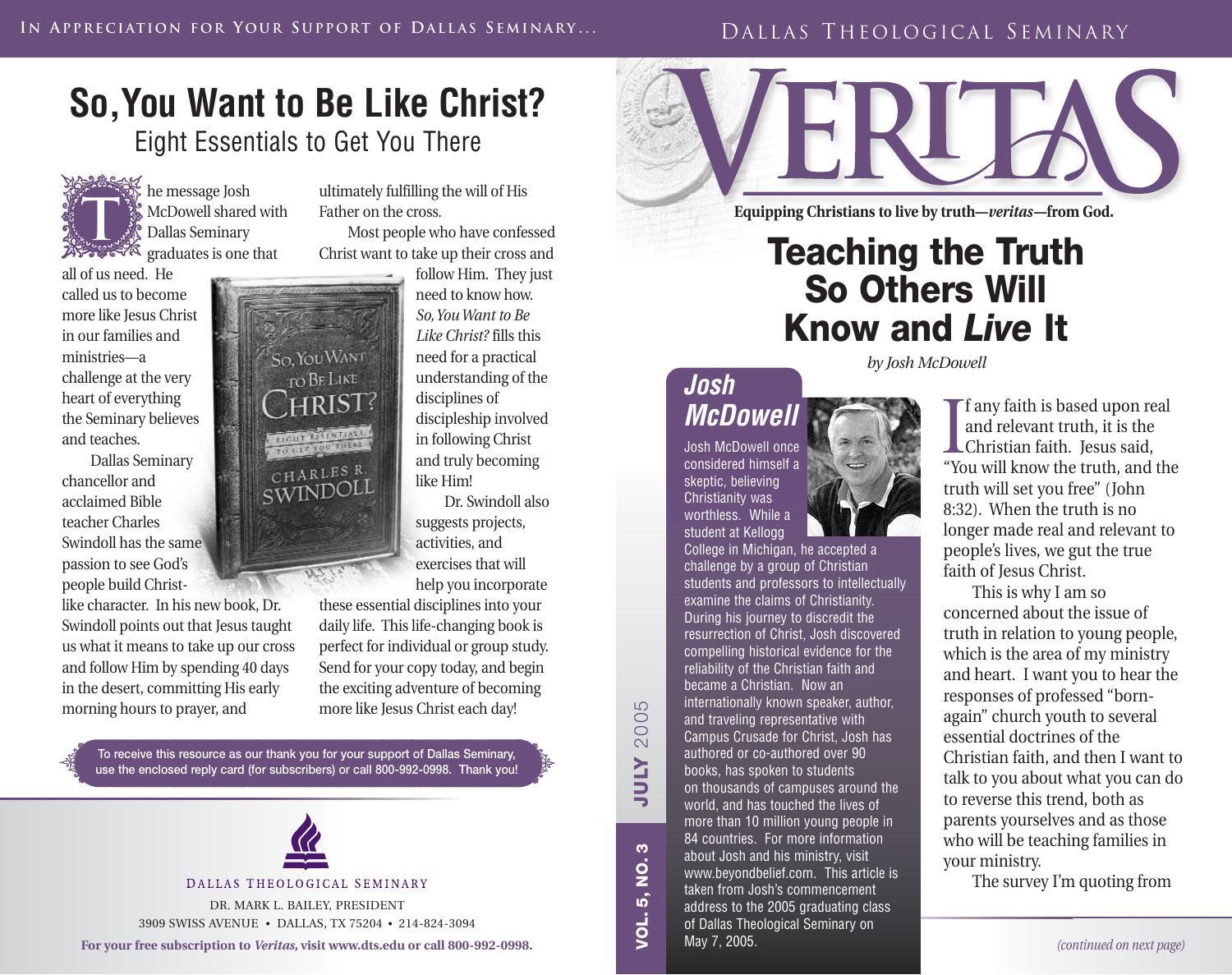#### DALLAS THEOLOGICAL SEMINARY

## **So,You Want to Be Like Christ?** Eight Essentials to Get You There

he message Josh McDowell shared with Dallas Seminary  $25.78$  graduates is one that **T**

all of us need. He called us to become more like Jesus Christ in our families and ministries—a challenge at the very heart of everything the Seminary believes and teaches.

Dallas Seminary chancellor and acclaimed Bible teacher Charles Swindoll has the same passion to see God's people build Christ-

like character. In his new book, Dr. Swindoll points out that Jesus taught us what it means to take up our cross and follow Him by spending 40 days in the desert, committing His early morning hours to prayer, and

So, YOU WANT TO BE LIKE **HRIST THE MANUFACTURE** CHARLES R. SWINDOLI

ultimately fulfilling the will of His Father on the cross.

Most people who have confessed Christ want to take up their cross and

> follow Him. They just need to know how. *So,You Want to Be Like Christ?* fills this need for a practical understanding of the disciplines of discipleship involved in following Christ and truly becoming like Him!

Dr. Swindoll also suggests projects, activities, and exercises that will help you incorporate

these essential disciplines into your daily life. This life-changing book is perfect for individual or group study. Send for your copy today, and begin the exciting adventure of becoming more like Jesus Christ each day!

**To receive this resource as our thank you for your support of Dallas Seminary, use the enclosed reply card (for subscribers) or call 800-992-0998. Thank you!**



DALLAS THEOLOGICAL SEMINARY

DR. MARK L. BAILEY, PRESIDENT 3909 SWISS AVENUE • DALLAS, TX 75204 • 214-824-3094

**For your free subscription to** *Veritas,* **visit www.dts.edu or call 800-992-0998.**



**Equipping Christians to live by truth—***veritas***—from God.**

# **Teaching the Truth So Others Will Know and** *Live* **It**

### **Josh McDowell**

**VOL. 5, NO. 3 JULY** 2005

 $\boldsymbol{\omega}$  $\dot{\mathbf{2}}$ 

ເດົ <u>i</u>

**ATION** 

 $\overline{D}$ 200 Josh McDowell once considered himself a skeptic, believing Christianity was worthless. While a student at Kellogg

College in Michigan, he accepted a challenge by a group of Christian students and professors to intellectually examine the claims of Christianity. During his journey to discredit the resurrection of Christ, Josh discovered compelling historical evidence for the reliability of the Christian faith and became a Christian. Now an internationally known speaker, author, and traveling representative with Campus Crusade for Christ, Josh has authored or co-authored over 90 books, has spoken to students on thousands of campuses around the world, and has touched the lives of more than 10 million young people in 84 countries. For more information about Josh and his ministry, visit www.beyondbelief.com. This article is taken from Josh's commencement address to the 2005 graduating class of Dallas Theological Seminary on May 7, 2005.

*by Josh McDowell*

I any faith is based upon re<br>and relevant truth, it is the<br>Christian faith. Jesus said,<br>"You will know the truth, and **f** any faith is based upon real and relevant truth, it is the "You will know the truth, and the truth will set you free" (John 8:32). When the truth is no longer made real and relevant to people's lives, we gut the true faith of Jesus Christ.

This is why I am so concerned about the issue of truth in relation to young people, which is the area of my ministry and heart. I want you to hear the responses of professed "bornagain" church youth to several essential doctrines of the Christian faith, and then I want to talk to you about what you can do to reverse this trend, both as parents yourselves and as those who will be teaching families in your ministry.

The survey I'm quoting from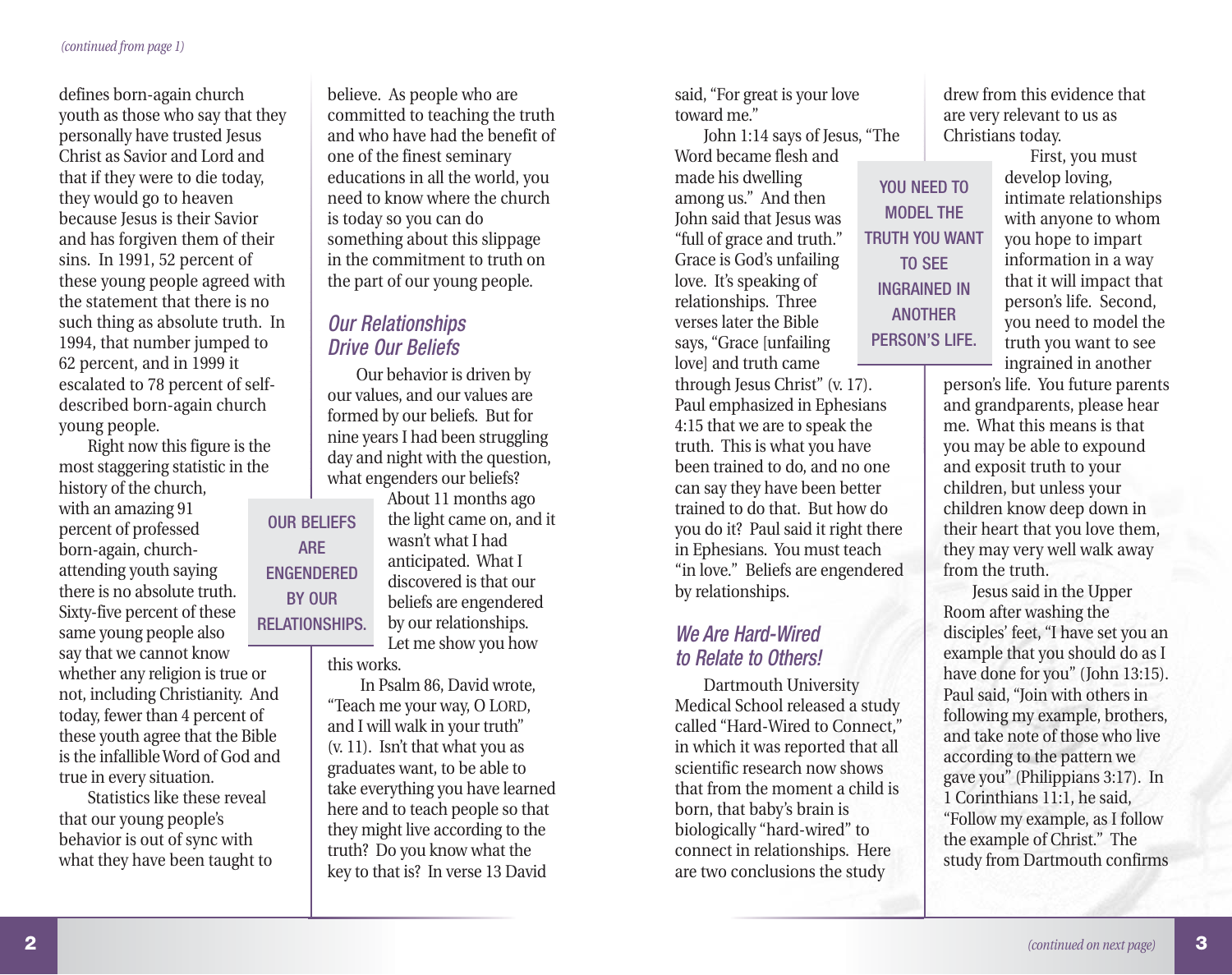defines born-again church youth as those who say that they personally have trusted Jesus Christ as Savior and Lord and that if they were to die today, they would go to heaven because Jesus is their Savior and has forgiven them of their sins. In 1991, 52 percent of these young people agreed with the statement that there is no such thing as absolute truth. In 1994, that number jumped to 62 percent, and in 1999 it escalated to 78 percent of selfdescribed born-again church young people.

Right now this figure is the most staggering statistic in the history of the church, with an amazing 91 percent of professed born-again, churchattending youth saying there is no absolute truth. Sixty-five percent of these same young people also say that we cannot know whether any religion is true or not, including Christianity. And today, fewer than 4 percent of these youth agree that the Bible is the infallible Word of God and OUR BELIEFS ENGENDERED RELATIONSHIPS.

true in every situation. Statistics like these reveal that our young people's behavior is out of sync with what they have been taught to believe. As people who are committed to teaching the truth and who have had the benefit of one of the finest seminary educations in all the world, you need to know where the church is today so you can do something about this slippage in the commitment to truth on the part of our young people.

#### Our Relationships Drive Our Beliefs

ARE

BY OUR

Our behavior is driven by our values, and our values are formed by our beliefs. But for nine years I had been struggling day and night with the question, what engenders our beliefs?

About 11 months ago the light came on, and it wasn't what I had anticipated. What I discovered is that our beliefs are engendered by our relationships. Let me show you how this works.

In Psalm 86, David wrote, "Teach me your way, O LORD, and I will walk in your truth" (v. 11). Isn't that what you as graduates want, to be able to take everything you have learned here and to teach people so that they might live according to the truth? Do you know what the key to that is? In verse 13 David

said, "For great is your love toward me."

John 1:14 says of Jesus, "The Word became flesh and made his dwelling among us." And then John said that Jesus was "full of grace and truth." Grace is God's unfailing love. It's speaking of relationships. Three verses later the Bible says, "Grace [unfailing love] and truth came

through Jesus Christ" (v. 17). Paul emphasized in Ephesians 4:15 that we are to speak the truth. This is what you have been trained to do, and no one can say they have been better trained to do that. But how do you do it? Paul said it right there in Ephesians. You must teach "in love." Beliefs are engendered by relationships.

#### We Are Hard-Wired to Relate to Others!

Dartmouth University Medical School released a study called "Hard-Wired to Connect," in which it was reported that all scientific research now shows that from the moment a child is born, that baby's brain is biologically "hard-wired" to connect in relationships. Here are two conclusions the study

drew from this evidence that are very relevant to us as Christians today.

YOU NFFD TO MODEL THE TRUTH YOU WANT TO SEE INGRAINED IN ANOTHER PERSON'S LIFE.

First, you must develop loving, intimate relationships with anyone to whom you hope to impart information in a way that it will impact that person's life. Second, you need to model the truth you want to see ingrained in another

person's life. You future parents and grandparents, please hear me. What this means is that you may be able to expound and exposit truth to your children, but unless your children know deep down in their heart that you love them, they may very well walk away from the truth.

Jesus said in the Upper Room after washing the disciples' feet, "I have set you an example that you should do as I have done for you" (John 13:15). Paul said, "Join with others in following my example, brothers, and take note of those who live according to the pattern we gave you" (Philippians 3:17). In 1 Corinthians 11:1, he said, "Follow my example, as I follow the example of Christ." The study from Dartmouth confirms

**3**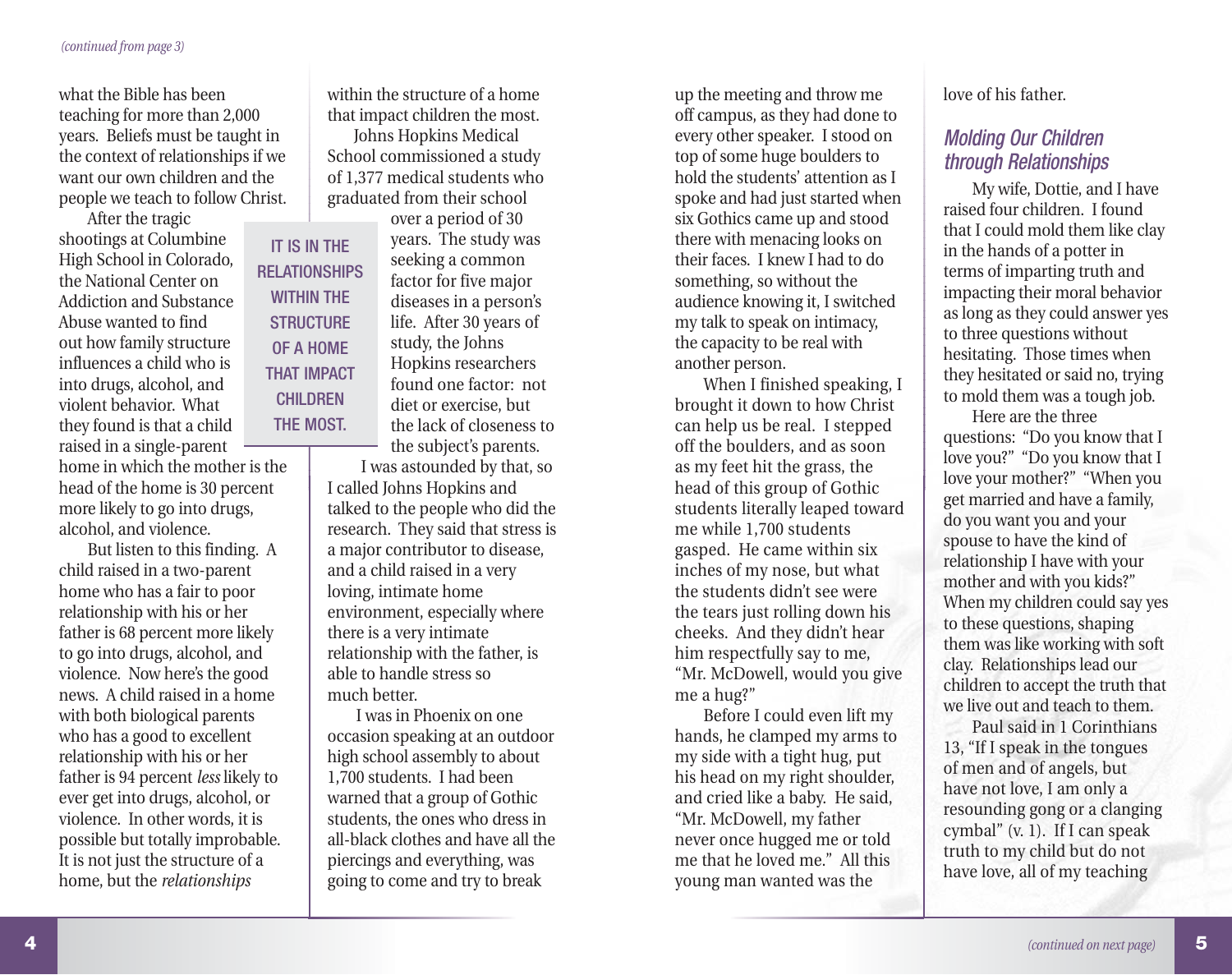what the Bible has been teaching for more than 2,000 years. Beliefs must be taught in the context of relationships if we want our own children and the people we teach to follow Christ.

After the tragic shootings at Columbine High School in Colorado, the National Center on Addiction and Substance Abuse wanted to find out how family structure influences a child who is into drugs, alcohol, and violent behavior. What they found is that a child raised in a single-parent

home in which the mother is the head of the home is 30 percent more likely to go into drugs, alcohol, and violence.

But listen to this finding. A child raised in a two-parent home who has a fair to poor relationship with his or her father is 68 percent more likely to go into drugs, alcohol, and violence. Now here's the good news. A child raised in a home with both biological parents who has a good to excellent relationship with his or her father is 94 percent *less* likely to ever get into drugs, alcohol, or violence. In other words, it is possible but totally improbable. It is not just the structure of a home, but the *relationships*

within the structure of a home that impact children the most.

Johns Hopkins Medical School commissioned a study of 1,377 medical students who graduated from their school

IT IS IN THE RELATIONSHIPS WITHIN THE **STRUCTURE** OF A HOME THAT IMPACT **CHILDREN** THE MOST.

over a period of 30 years. The study was seeking a common factor for five major diseases in a person's life. After 30 years of study, the Johns Hopkins researchers found one factor: not diet or exercise, but the lack of closeness to the subject's parents.

I was astounded by that, so I called Johns Hopkins and talked to the people who did the research. They said that stress is a major contributor to disease, and a child raised in a very loving, intimate home environment, especially where there is a very intimate relationship with the father, is able to handle stress so much better.

I was in Phoenix on one occasion speaking at an outdoor high school assembly to about 1,700 students. I had been warned that a group of Gothic students, the ones who dress in all-black clothes and have all the piercings and everything, was going to come and try to break

up the meeting and throw me off campus, as they had done to every other speaker. I stood on top of some huge boulders to hold the students' attention as I spoke and had just started when six Gothics came up and stood there with menacing looks on their faces. I knew I had to do something, so without the audience knowing it, I switched my talk to speak on intimacy, the capacity to be real with another person.

When I finished speaking, I brought it down to how Christ can help us be real. I stepped off the boulders, and as soon as my feet hit the grass, the head of this group of Gothic students literally leaped toward me while 1,700 students gasped. He came within six inches of my nose, but what the students didn't see were the tears just rolling down his cheeks. And they didn't hear him respectfully say to me, "Mr. McDowell, would you give me a hug?"

Before I could even lift my hands, he clamped my arms to my side with a tight hug, put his head on my right shoulder, and cried like a baby. He said, "Mr. McDowell, my father never once hugged me or told me that he loved me." All this young man wanted was the

love of his father.

#### Molding Our Children through Relationships

My wife, Dottie, and I have raised four children. I found that I could mold them like clay in the hands of a potter in terms of imparting truth and impacting their moral behavior as long as they could answer yes to three questions without hesitating. Those times when they hesitated or said no, trying to mold them was a tough job.

Here are the three questions: "Do you know that I love you?" "Do you know that I love your mother?" "When you get married and have a family, do you want you and your spouse to have the kind of relationship I have with your mother and with you kids?" When my children could say yes to these questions, shaping them was like working with soft clay. Relationships lead our children to accept the truth that we live out and teach to them.

Paul said in 1 Corinthians 13, "If I speak in the tongues of men and of angels, but have not love, I am only a resounding gong or a clanging cymbal" (v. 1). If I can speak truth to my child but do not have love, all of my teaching